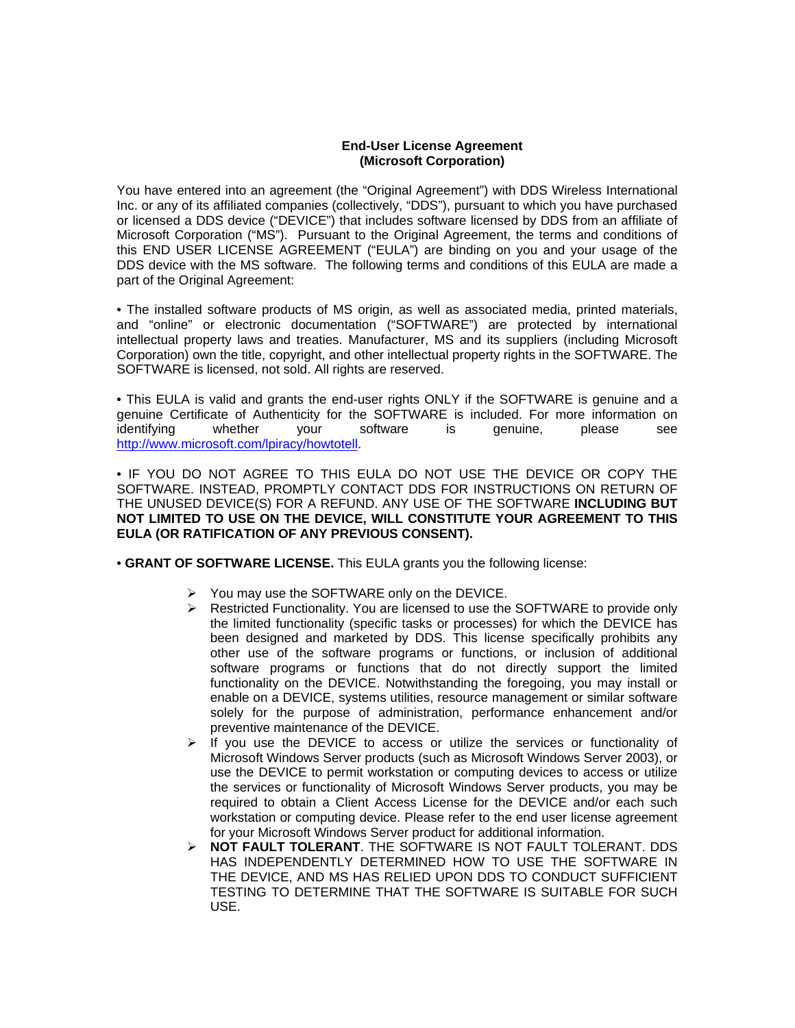## **End-User License Agreement (Microsoft Corporation)**

You have entered into an agreement (the "Original Agreement") with DDS Wireless International Inc. or any of its affiliated companies (collectively, "DDS"), pursuant to which you have purchased or licensed a DDS device ("DEVICE") that includes software licensed by DDS from an affiliate of Microsoft Corporation ("MS"). Pursuant to the Original Agreement, the terms and conditions of this END USER LICENSE AGREEMENT ("EULA") are binding on you and your usage of the DDS device with the MS software. The following terms and conditions of this EULA are made a part of the Original Agreement:

• The installed software products of MS origin, as well as associated media, printed materials, and "online" or electronic documentation ("SOFTWARE") are protected by international intellectual property laws and treaties. Manufacturer, MS and its suppliers (including Microsoft Corporation) own the title, copyright, and other intellectual property rights in the SOFTWARE. The SOFTWARE is licensed, not sold. All rights are reserved.

• This EULA is valid and grants the end-user rights ONLY if the SOFTWARE is genuine and a genuine Certificate of Authenticity for the SOFTWARE is included. For more information on identifying whether your software is genuine, please see http://www.microsoft.com/lpiracy/howtotell.

• IF YOU DO NOT AGREE TO THIS EULA DO NOT USE THE DEVICE OR COPY THE SOFTWARE. INSTEAD, PROMPTLY CONTACT DDS FOR INSTRUCTIONS ON RETURN OF THE UNUSED DEVICE(S) FOR A REFUND. ANY USE OF THE SOFTWARE **INCLUDING BUT NOT LIMITED TO USE ON THE DEVICE, WILL CONSTITUTE YOUR AGREEMENT TO THIS EULA (OR RATIFICATION OF ANY PREVIOUS CONSENT).** 

• **GRANT OF SOFTWARE LICENSE.** This EULA grants you the following license:

- $\triangleright$  You may use the SOFTWARE only on the DEVICE.
- $\triangleright$  Restricted Functionality. You are licensed to use the SOFTWARE to provide only the limited functionality (specific tasks or processes) for which the DEVICE has been designed and marketed by DDS. This license specifically prohibits any other use of the software programs or functions, or inclusion of additional software programs or functions that do not directly support the limited functionality on the DEVICE. Notwithstanding the foregoing, you may install or enable on a DEVICE, systems utilities, resource management or similar software solely for the purpose of administration, performance enhancement and/or preventive maintenance of the DEVICE.
- $\triangleright$  If you use the DEVICE to access or utilize the services or functionality of Microsoft Windows Server products (such as Microsoft Windows Server 2003), or use the DEVICE to permit workstation or computing devices to access or utilize the services or functionality of Microsoft Windows Server products, you may be required to obtain a Client Access License for the DEVICE and/or each such workstation or computing device. Please refer to the end user license agreement for your Microsoft Windows Server product for additional information.
- **NOT FAULT TOLERANT**. THE SOFTWARE IS NOT FAULT TOLERANT. DDS HAS INDEPENDENTLY DETERMINED HOW TO USE THE SOFTWARE IN THE DEVICE, AND MS HAS RELIED UPON DDS TO CONDUCT SUFFICIENT TESTING TO DETERMINE THAT THE SOFTWARE IS SUITABLE FOR SUCH USE.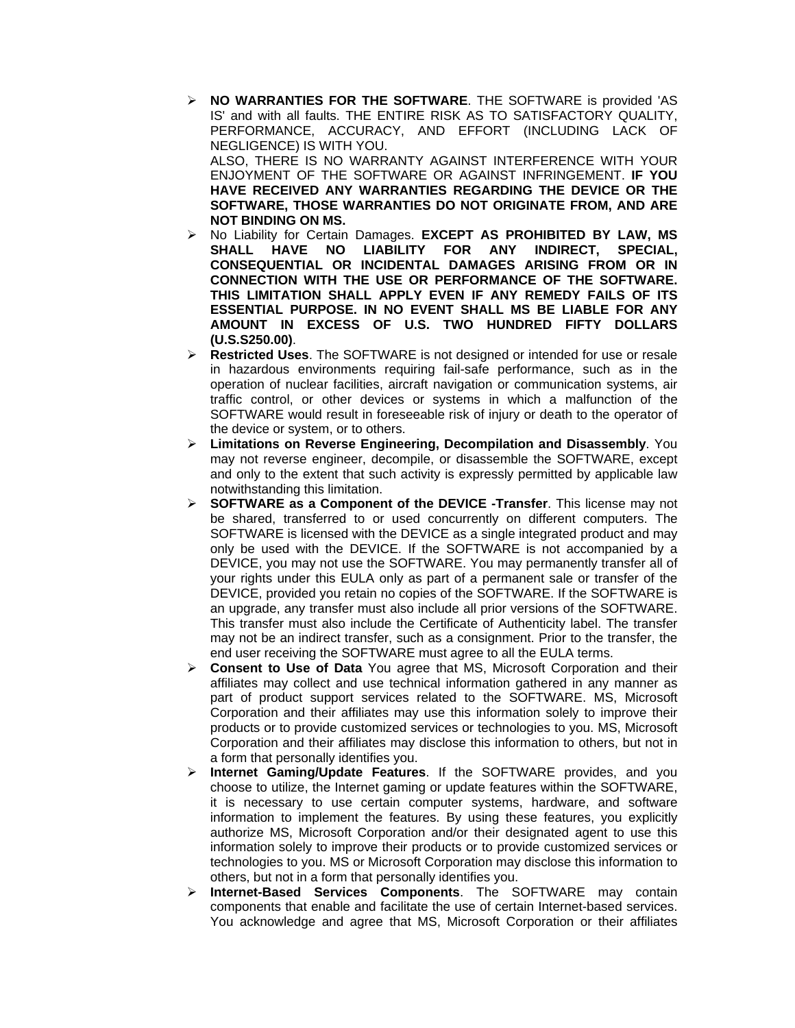- **NO WARRANTIES FOR THE SOFTWARE**. THE SOFTWARE is provided 'AS IS' and with all faults. THE ENTIRE RISK AS TO SATISFACTORY QUALITY, PERFORMANCE, ACCURACY, AND EFFORT (INCLUDING LACK OF NEGLIGENCE) IS WITH YOU. ALSO, THERE IS NO WARRANTY AGAINST INTERFERENCE WITH YOUR ENJOYMENT OF THE SOFTWARE OR AGAINST INFRINGEMENT. **IF YOU HAVE RECEIVED ANY WARRANTIES REGARDING THE DEVICE OR THE SOFTWARE, THOSE WARRANTIES DO NOT ORIGINATE FROM, AND ARE NOT BINDING ON MS.**
- No Liability for Certain Damages. **EXCEPT AS PROHIBITED BY LAW, MS SHALL HAVE NO LIABILITY FOR ANY INDIRECT, SPECIAL, CONSEQUENTIAL OR INCIDENTAL DAMAGES ARISING FROM OR IN CONNECTION WITH THE USE OR PERFORMANCE OF THE SOFTWARE. THIS LIMITATION SHALL APPLY EVEN IF ANY REMEDY FAILS OF ITS ESSENTIAL PURPOSE. IN NO EVENT SHALL MS BE LIABLE FOR ANY AMOUNT IN EXCESS OF U.S. TWO HUNDRED FIFTY DOLLARS (U.S.S250.00)**.
- **Restricted Uses**. The SOFTWARE is not designed or intended for use or resale in hazardous environments requiring fail-safe performance, such as in the operation of nuclear facilities, aircraft navigation or communication systems, air traffic control, or other devices or systems in which a malfunction of the SOFTWARE would result in foreseeable risk of injury or death to the operator of the device or system, or to others.
- **Limitations on Reverse Engineering, Decompilation and Disassembly**. You may not reverse engineer, decompile, or disassemble the SOFTWARE, except and only to the extent that such activity is expressly permitted by applicable law notwithstanding this limitation.
- **SOFTWARE as a Component of the DEVICE -Transfer**. This license may not be shared, transferred to or used concurrently on different computers. The SOFTWARE is licensed with the DEVICE as a single integrated product and may only be used with the DEVICE. If the SOFTWARE is not accompanied by a DEVICE, you may not use the SOFTWARE. You may permanently transfer all of your rights under this EULA only as part of a permanent sale or transfer of the DEVICE, provided you retain no copies of the SOFTWARE. If the SOFTWARE is an upgrade, any transfer must also include all prior versions of the SOFTWARE. This transfer must also include the Certificate of Authenticity label. The transfer may not be an indirect transfer, such as a consignment. Prior to the transfer, the end user receiving the SOFTWARE must agree to all the EULA terms.
- **Consent to Use of Data** You agree that MS, Microsoft Corporation and their affiliates may collect and use technical information gathered in any manner as part of product support services related to the SOFTWARE. MS, Microsoft Corporation and their affiliates may use this information solely to improve their products or to provide customized services or technologies to you. MS, Microsoft Corporation and their affiliates may disclose this information to others, but not in a form that personally identifies you.
- **Internet Gaming/Update Features**. If the SOFTWARE provides, and you choose to utilize, the Internet gaming or update features within the SOFTWARE, it is necessary to use certain computer systems, hardware, and software information to implement the features. By using these features, you explicitly authorize MS, Microsoft Corporation and/or their designated agent to use this information solely to improve their products or to provide customized services or technologies to you. MS or Microsoft Corporation may disclose this information to others, but not in a form that personally identifies you.
- **Internet-Based Services Components**. The SOFTWARE may contain components that enable and facilitate the use of certain Internet-based services. You acknowledge and agree that MS, Microsoft Corporation or their affiliates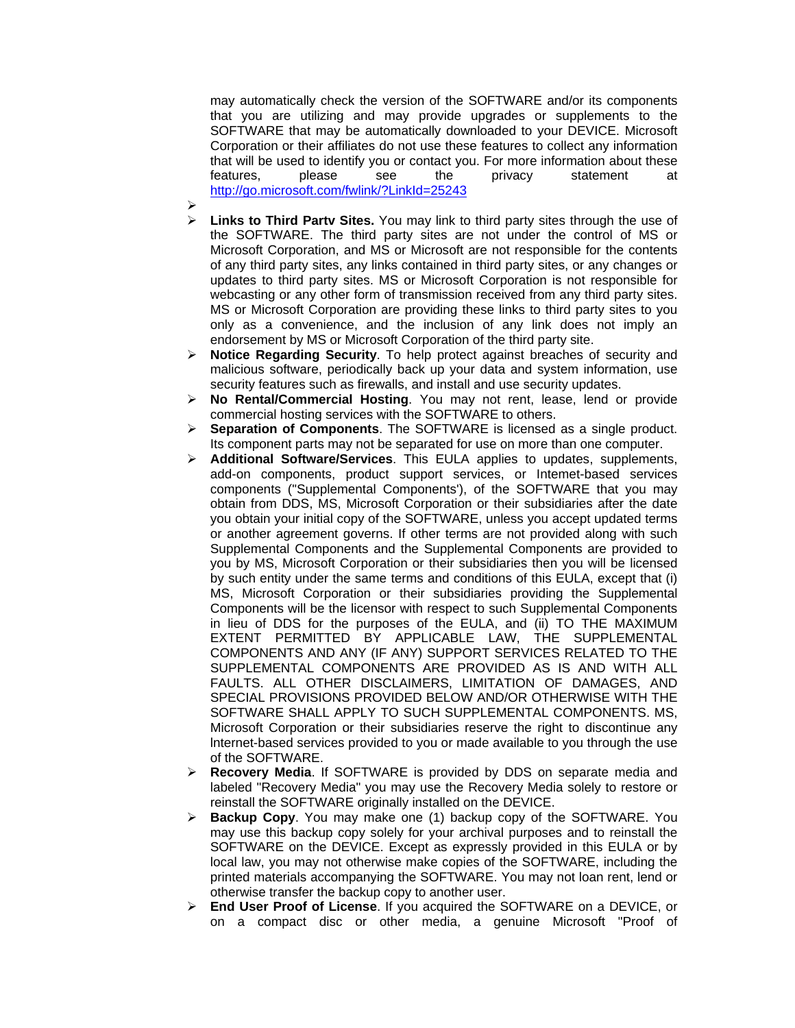may automatically check the version of the SOFTWARE and/or its components that you are utilizing and may provide upgrades or supplements to the SOFTWARE that may be automatically downloaded to your DEVICE. Microsoft Corporation or their affiliates do not use these features to collect any information that will be used to identify you or contact you. For more information about these features, please see the privacy statement at http://go.microsoft.com/fwlink/?LinkId=25243

- $\blacktriangleright$
- **Links to Third Partv Sites.** You may link to third party sites through the use of the SOFTWARE. The third party sites are not under the control of MS or Microsoft Corporation, and MS or Microsoft are not responsible for the contents of any third party sites, any links contained in third party sites, or any changes or updates to third party sites. MS or Microsoft Corporation is not responsible for webcasting or any other form of transmission received from any third party sites. MS or Microsoft Corporation are providing these links to third party sites to you only as a convenience, and the inclusion of any link does not imply an endorsement by MS or Microsoft Corporation of the third party site.
- **Notice Regarding Security**. To help protect against breaches of security and malicious software, periodically back up your data and system information, use security features such as firewalls, and install and use security updates.
- **No Rental/Commercial Hosting**. You may not rent, lease, lend or provide commercial hosting services with the SOFTWARE to others.
- **Separation of Components**. The SOFTWARE is licensed as a single product. Its component parts may not be separated for use on more than one computer.
- **Additional Software/Services**. This EULA applies to updates, supplements, add-on components, product support services, or Intemet-based services components ("Supplemental Components'), of the SOFTWARE that you may obtain from DDS, MS, Microsoft Corporation or their subsidiaries after the date you obtain your initial copy of the SOFTWARE, unless you accept updated terms or another agreement governs. If other terms are not provided along with such Supplemental Components and the Supplemental Components are provided to you by MS, Microsoft Corporation or their subsidiaries then you will be licensed by such entity under the same terms and conditions of this EULA, except that (i) MS, Microsoft Corporation or their subsidiaries providing the Supplemental Components will be the licensor with respect to such Supplemental Components in lieu of DDS for the purposes of the EULA, and (ii) TO THE MAXIMUM EXTENT PERMITTED BY APPLICABLE LAW, THE SUPPLEMENTAL COMPONENTS AND ANY (IF ANY) SUPPORT SERVICES RELATED TO THE SUPPLEMENTAL COMPONENTS ARE PROVIDED AS IS AND WITH ALL FAULTS. ALL OTHER DISCLAIMERS, LIMITATION OF DAMAGES, AND SPECIAL PROVISIONS PROVIDED BELOW AND/OR OTHERWISE WITH THE SOFTWARE SHALL APPLY TO SUCH SUPPLEMENTAL COMPONENTS. MS, Microsoft Corporation or their subsidiaries reserve the right to discontinue any lnternet-based services provided to you or made available to you through the use of the SOFTWARE.
- **Recovery Media**. If SOFTWARE is provided by DDS on separate media and labeled "Recovery Media" you may use the Recovery Media solely to restore or reinstall the SOFTWARE originally installed on the DEVICE.
- **Backup Copy**. You may make one (1) backup copy of the SOFTWARE. You may use this backup copy solely for your archival purposes and to reinstall the SOFTWARE on the DEVICE. Except as expressly provided in this EULA or by local law, you may not otherwise make copies of the SOFTWARE, including the printed materials accompanying the SOFTWARE. You may not loan rent, lend or otherwise transfer the backup copy to another user.
- **End User Proof of License**. If you acquired the SOFTWARE on a DEVICE, or on a compact disc or other media, a genuine Microsoft "Proof of